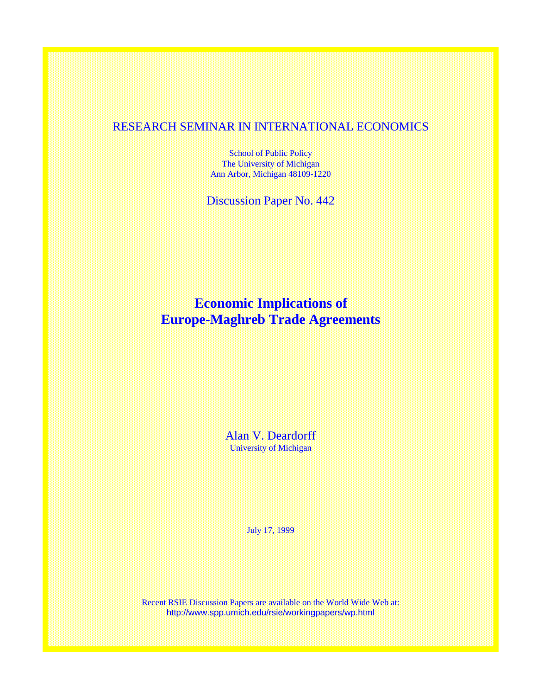## RESEARCH SEMINAR IN INTERNATIONAL ECONOMICS

School of Public Policy The University of Michigan Ann Arbor, Michigan 48109-1220

Discussion Paper No. 442

# **Economic Implications of Europe-Maghreb Trade Agreements**

Alan V. Deardorff University of Michigan

July 17, 1999

Recent RSIE Discussion Papers are available on the World Wide Web at: http://www.spp.umich.edu/rsie/workingpapers/wp.html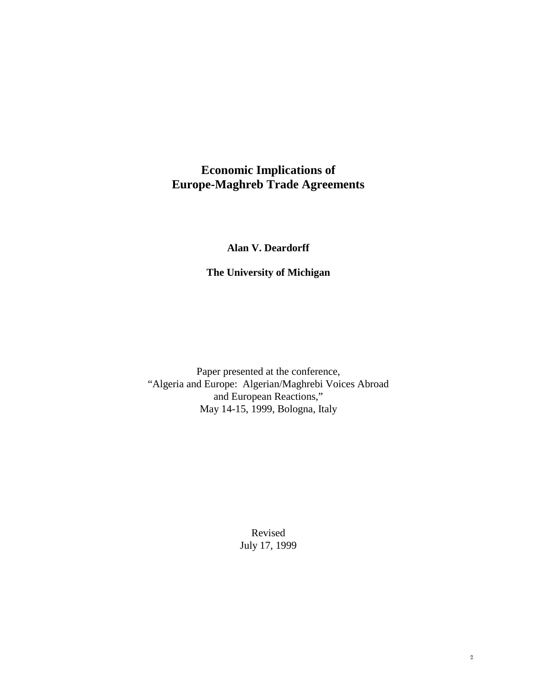## **Economic Implications of Europe-Maghreb Trade Agreements**

### **Alan V. Deardorff**

**The University of Michigan**

Paper presented at the conference, "Algeria and Europe: Algerian/Maghrebi Voices Abroad and European Reactions," May 14-15, 1999, Bologna, Italy

> Revised July 17, 1999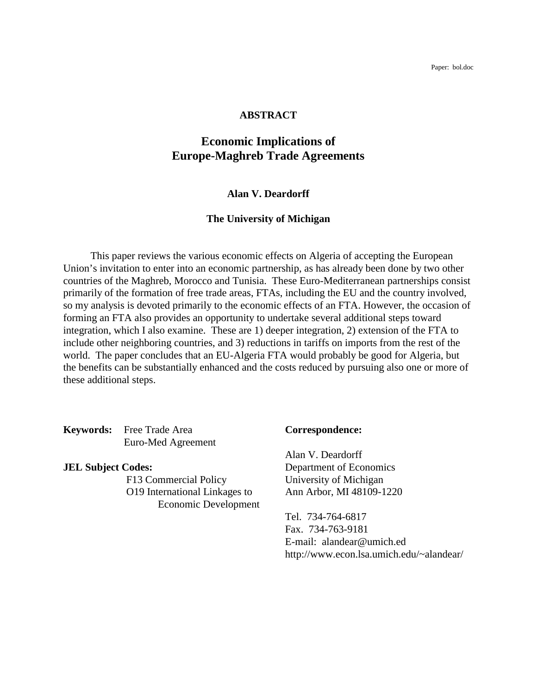Paper: bol.doc

#### **ABSTRACT**

## **Economic Implications of Europe-Maghreb Trade Agreements**

#### **Alan V. Deardorff**

#### **The University of Michigan**

This paper reviews the various economic effects on Algeria of accepting the European Union's invitation to enter into an economic partnership, as has already been done by two other countries of the Maghreb, Morocco and Tunisia. These Euro-Mediterranean partnerships consist primarily of the formation of free trade areas, FTAs, including the EU and the country involved, so my analysis is devoted primarily to the economic effects of an FTA. However, the occasion of forming an FTA also provides an opportunity to undertake several additional steps toward integration, which I also examine. These are 1) deeper integration, 2) extension of the FTA to include other neighboring countries, and 3) reductions in tariffs on imports from the rest of the world. The paper concludes that an EU-Algeria FTA would probably be good for Algeria, but the benefits can be substantially enhanced and the costs reduced by pursuing also one or more of these additional steps.

**Keywords:** Free Trade Area **Correspondence:** Euro-Med Agreement

F13 Commercial Policy University of Michigan O19 International Linkages to Ann Arbor, MI 48109-1220 Economic Development

Alan V. Deardorff **JEL Subject Codes:** Department of Economics

> Tel. 734-764-6817 Fax. 734-763-9181 E-mail: alandear@umich.ed http://www.econ.lsa.umich.edu/~alandear/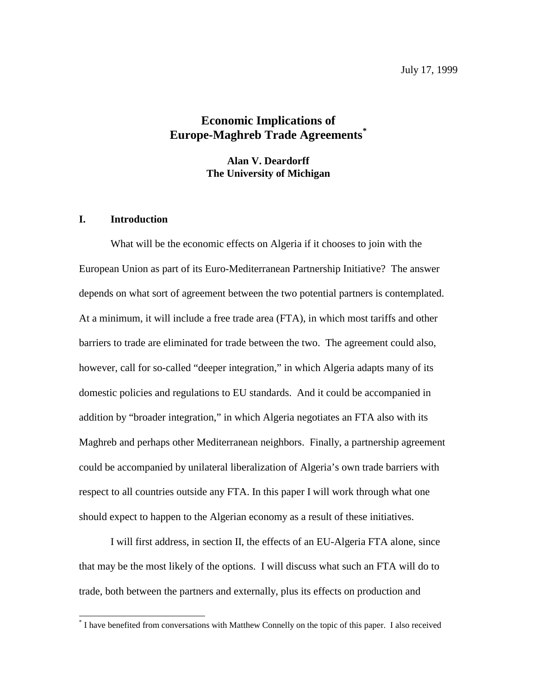## **Economic Implications of Europe-Maghreb Trade Agreements\***

**Alan V. Deardorff The University of Michigan**

#### **I. Introduction**

 $\overline{a}$ 

What will be the economic effects on Algeria if it chooses to join with the European Union as part of its Euro-Mediterranean Partnership Initiative? The answer depends on what sort of agreement between the two potential partners is contemplated. At a minimum, it will include a free trade area (FTA), in which most tariffs and other barriers to trade are eliminated for trade between the two. The agreement could also, however, call for so-called "deeper integration," in which Algeria adapts many of its domestic policies and regulations to EU standards. And it could be accompanied in addition by "broader integration," in which Algeria negotiates an FTA also with its Maghreb and perhaps other Mediterranean neighbors. Finally, a partnership agreement could be accompanied by unilateral liberalization of Algeria's own trade barriers with respect to all countries outside any FTA. In this paper I will work through what one should expect to happen to the Algerian economy as a result of these initiatives.

I will first address, in section II, the effects of an EU-Algeria FTA alone, since that may be the most likely of the options. I will discuss what such an FTA will do to trade, both between the partners and externally, plus its effects on production and

<sup>\*</sup> I have benefited from conversations with Matthew Connelly on the topic of this paper. I also received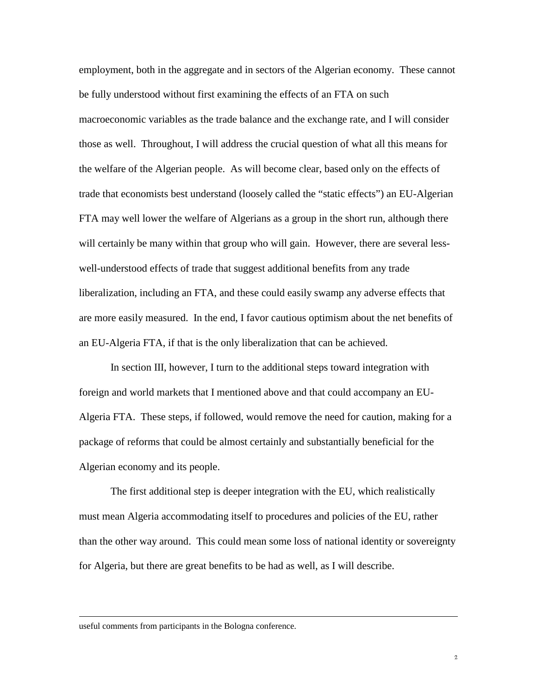employment, both in the aggregate and in sectors of the Algerian economy. These cannot be fully understood without first examining the effects of an FTA on such macroeconomic variables as the trade balance and the exchange rate, and I will consider those as well. Throughout, I will address the crucial question of what all this means for the welfare of the Algerian people. As will become clear, based only on the effects of trade that economists best understand (loosely called the "static effects") an EU-Algerian FTA may well lower the welfare of Algerians as a group in the short run, although there will certainly be many within that group who will gain. However, there are several lesswell-understood effects of trade that suggest additional benefits from any trade liberalization, including an FTA, and these could easily swamp any adverse effects that are more easily measured. In the end, I favor cautious optimism about the net benefits of an EU-Algeria FTA, if that is the only liberalization that can be achieved.

In section III, however, I turn to the additional steps toward integration with foreign and world markets that I mentioned above and that could accompany an EU-Algeria FTA. These steps, if followed, would remove the need for caution, making for a package of reforms that could be almost certainly and substantially beneficial for the Algerian economy and its people.

The first additional step is deeper integration with the EU, which realistically must mean Algeria accommodating itself to procedures and policies of the EU, rather than the other way around. This could mean some loss of national identity or sovereignty for Algeria, but there are great benefits to be had as well, as I will describe.

 $\overline{a}$ 

useful comments from participants in the Bologna conference.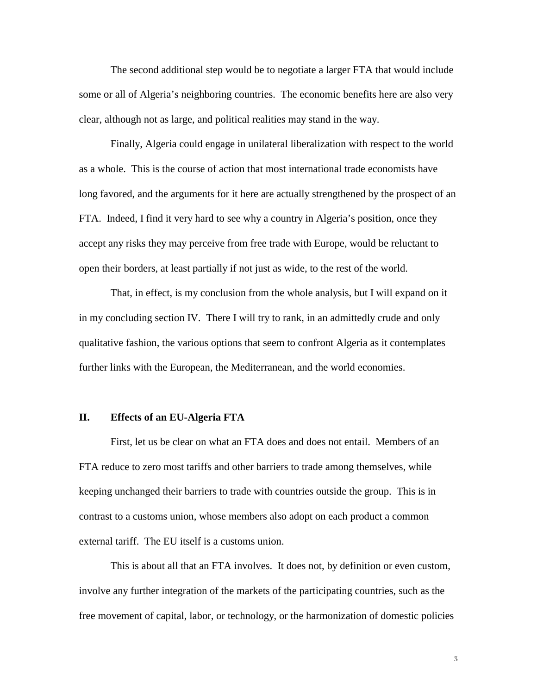The second additional step would be to negotiate a larger FTA that would include some or all of Algeria's neighboring countries. The economic benefits here are also very clear, although not as large, and political realities may stand in the way.

Finally, Algeria could engage in unilateral liberalization with respect to the world as a whole. This is the course of action that most international trade economists have long favored, and the arguments for it here are actually strengthened by the prospect of an FTA. Indeed, I find it very hard to see why a country in Algeria's position, once they accept any risks they may perceive from free trade with Europe, would be reluctant to open their borders, at least partially if not just as wide, to the rest of the world.

That, in effect, is my conclusion from the whole analysis, but I will expand on it in my concluding section IV. There I will try to rank, in an admittedly crude and only qualitative fashion, the various options that seem to confront Algeria as it contemplates further links with the European, the Mediterranean, and the world economies.

#### **II. Effects of an EU-Algeria FTA**

First, let us be clear on what an FTA does and does not entail. Members of an FTA reduce to zero most tariffs and other barriers to trade among themselves, while keeping unchanged their barriers to trade with countries outside the group. This is in contrast to a customs union, whose members also adopt on each product a common external tariff. The EU itself is a customs union.

This is about all that an FTA involves. It does not, by definition or even custom, involve any further integration of the markets of the participating countries, such as the free movement of capital, labor, or technology, or the harmonization of domestic policies

 $\overline{3}$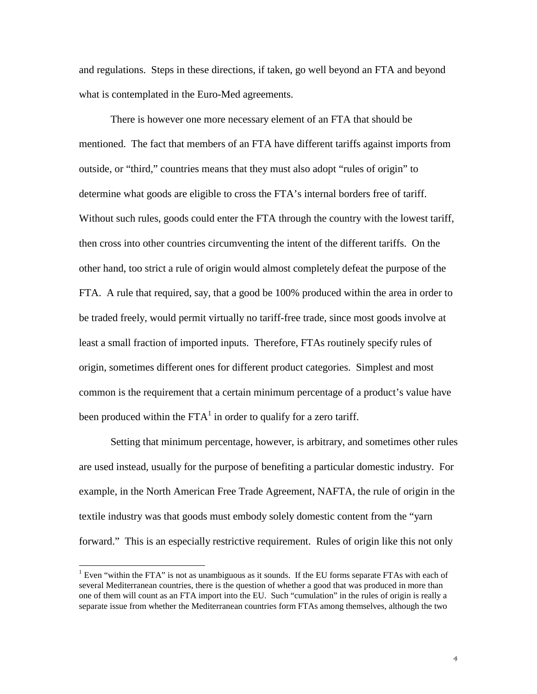and regulations. Steps in these directions, if taken, go well beyond an FTA and beyond what is contemplated in the Euro-Med agreements.

There is however one more necessary element of an FTA that should be mentioned. The fact that members of an FTA have different tariffs against imports from outside, or "third," countries means that they must also adopt "rules of origin" to determine what goods are eligible to cross the FTA's internal borders free of tariff. Without such rules, goods could enter the FTA through the country with the lowest tariff, then cross into other countries circumventing the intent of the different tariffs. On the other hand, too strict a rule of origin would almost completely defeat the purpose of the FTA. A rule that required, say, that a good be 100% produced within the area in order to be traded freely, would permit virtually no tariff-free trade, since most goods involve at least a small fraction of imported inputs. Therefore, FTAs routinely specify rules of origin, sometimes different ones for different product categories. Simplest and most common is the requirement that a certain minimum percentage of a product's value have been produced within the  $FTA^1$  in order to qualify for a zero tariff.

Setting that minimum percentage, however, is arbitrary, and sometimes other rules are used instead, usually for the purpose of benefiting a particular domestic industry. For example, in the North American Free Trade Agreement, NAFTA, the rule of origin in the textile industry was that goods must embody solely domestic content from the "yarn forward." This is an especially restrictive requirement. Rules of origin like this not only

 $\overline{a}$ 

<sup>&</sup>lt;sup>1</sup> Even "within the FTA" is not as unambiguous as it sounds. If the EU forms separate FTAs with each of several Mediterranean countries, there is the question of whether a good that was produced in more than one of them will count as an FTA import into the EU. Such "cumulation" in the rules of origin is really a separate issue from whether the Mediterranean countries form FTAs among themselves, although the two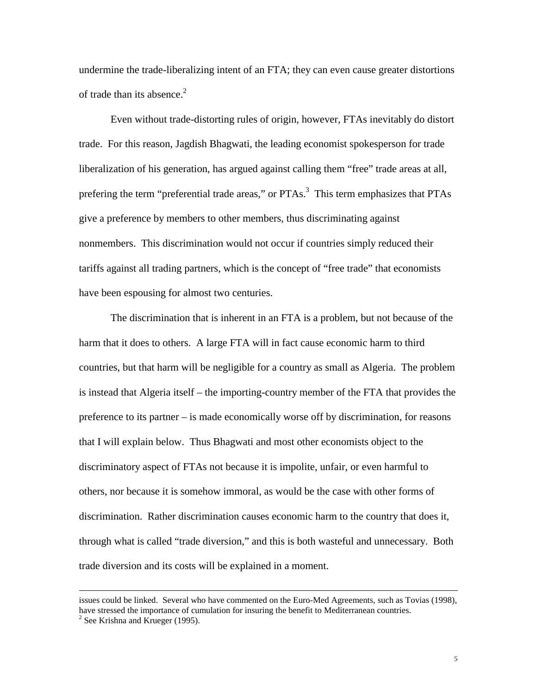undermine the trade-liberalizing intent of an FTA; they can even cause greater distortions of trade than its absence.<sup>2</sup>

Even without trade-distorting rules of origin, however, FTAs inevitably do distort trade. For this reason, Jagdish Bhagwati, the leading economist spokesperson for trade liberalization of his generation, has argued against calling them "free" trade areas at all, prefering the term "preferential trade areas," or  $PTAs^3$  This term emphasizes that PTAs give a preference by members to other members, thus discriminating against nonmembers. This discrimination would not occur if countries simply reduced their tariffs against all trading partners, which is the concept of "free trade" that economists have been espousing for almost two centuries.

The discrimination that is inherent in an FTA is a problem, but not because of the harm that it does to others. A large FTA will in fact cause economic harm to third countries, but that harm will be negligible for a country as small as Algeria. The problem is instead that Algeria itself – the importing-country member of the FTA that provides the preference to its partner – is made economically worse off by discrimination, for reasons that I will explain below. Thus Bhagwati and most other economists object to the discriminatory aspect of FTAs not because it is impolite, unfair, or even harmful to others, nor because it is somehow immoral, as would be the case with other forms of discrimination. Rather discrimination causes economic harm to the country that does it, through what is called "trade diversion," and this is both wasteful and unnecessary. Both trade diversion and its costs will be explained in a moment.

 $\overline{a}$ 

issues could be linked. Several who have commented on the Euro-Med Agreements, such as Tovias (1998), have stressed the importance of cumulation for insuring the benefit to Mediterranean countries.

<sup>&</sup>lt;sup>2</sup> See Krishna and Krueger (1995).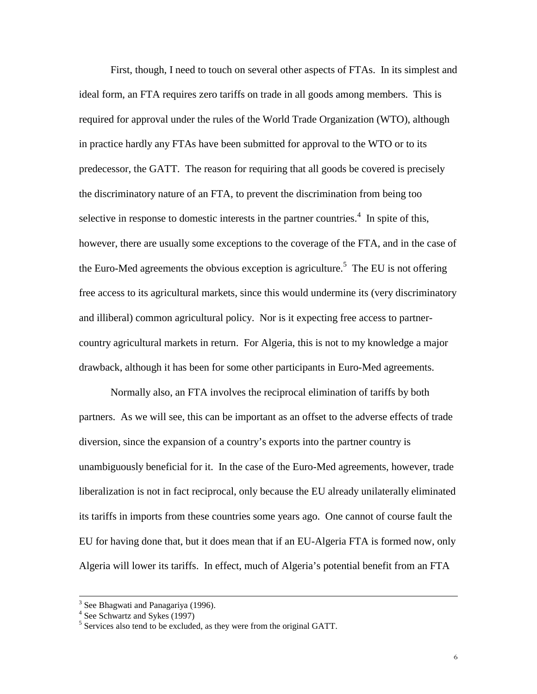First, though, I need to touch on several other aspects of FTAs. In its simplest and ideal form, an FTA requires zero tariffs on trade in all goods among members. This is required for approval under the rules of the World Trade Organization (WTO), although in practice hardly any FTAs have been submitted for approval to the WTO or to its predecessor, the GATT. The reason for requiring that all goods be covered is precisely the discriminatory nature of an FTA, to prevent the discrimination from being too selective in response to domestic interests in the partner countries.<sup>4</sup> In spite of this, however, there are usually some exceptions to the coverage of the FTA, and in the case of the Euro-Med agreements the obvious exception is agriculture.<sup>5</sup> The EU is not offering free access to its agricultural markets, since this would undermine its (very discriminatory and illiberal) common agricultural policy. Nor is it expecting free access to partnercountry agricultural markets in return. For Algeria, this is not to my knowledge a major drawback, although it has been for some other participants in Euro-Med agreements.

Normally also, an FTA involves the reciprocal elimination of tariffs by both partners. As we will see, this can be important as an offset to the adverse effects of trade diversion, since the expansion of a country's exports into the partner country is unambiguously beneficial for it. In the case of the Euro-Med agreements, however, trade liberalization is not in fact reciprocal, only because the EU already unilaterally eliminated its tariffs in imports from these countries some years ago. One cannot of course fault the EU for having done that, but it does mean that if an EU-Algeria FTA is formed now, only Algeria will lower its tariffs. In effect, much of Algeria's potential benefit from an FTA

 <sup>3</sup> <sup>3</sup> See Bhagwati and Panagariya (1996).<br><sup>4</sup> See Schwartz and Sykes (1997)

<sup>&</sup>lt;sup>5</sup> Services also tend to be excluded, as they were from the original GATT.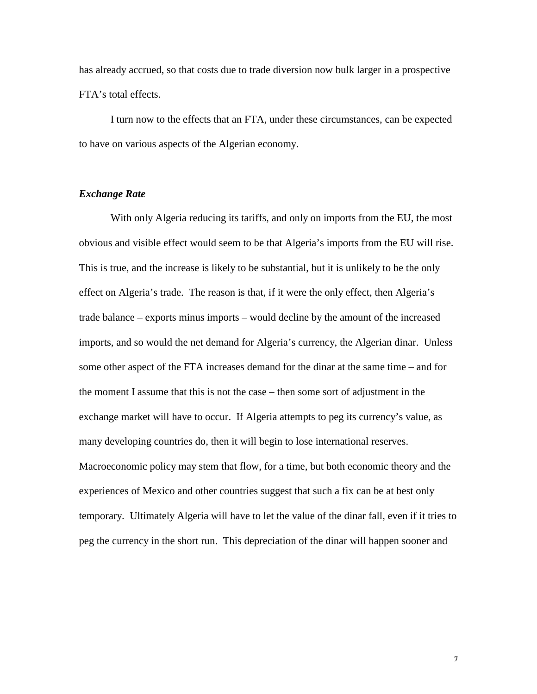has already accrued, so that costs due to trade diversion now bulk larger in a prospective FTA's total effects.

I turn now to the effects that an FTA, under these circumstances, can be expected to have on various aspects of the Algerian economy.

#### *Exchange Rate*

With only Algeria reducing its tariffs, and only on imports from the EU, the most obvious and visible effect would seem to be that Algeria's imports from the EU will rise. This is true, and the increase is likely to be substantial, but it is unlikely to be the only effect on Algeria's trade. The reason is that, if it were the only effect, then Algeria's trade balance – exports minus imports – would decline by the amount of the increased imports, and so would the net demand for Algeria's currency, the Algerian dinar. Unless some other aspect of the FTA increases demand for the dinar at the same time – and for the moment I assume that this is not the case – then some sort of adjustment in the exchange market will have to occur. If Algeria attempts to peg its currency's value, as many developing countries do, then it will begin to lose international reserves. Macroeconomic policy may stem that flow, for a time, but both economic theory and the experiences of Mexico and other countries suggest that such a fix can be at best only temporary. Ultimately Algeria will have to let the value of the dinar fall, even if it tries to peg the currency in the short run. This depreciation of the dinar will happen sooner and

 $\boldsymbol{\gamma}$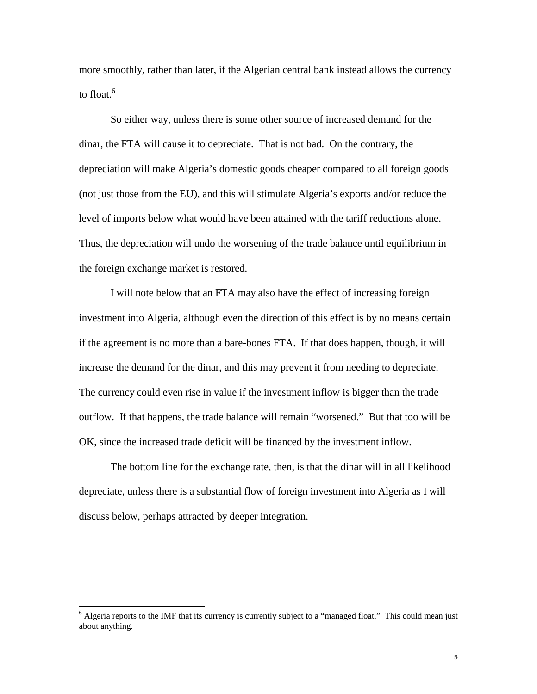more smoothly, rather than later, if the Algerian central bank instead allows the currency to float. $6$ 

So either way, unless there is some other source of increased demand for the dinar, the FTA will cause it to depreciate. That is not bad. On the contrary, the depreciation will make Algeria's domestic goods cheaper compared to all foreign goods (not just those from the EU), and this will stimulate Algeria's exports and/or reduce the level of imports below what would have been attained with the tariff reductions alone. Thus, the depreciation will undo the worsening of the trade balance until equilibrium in the foreign exchange market is restored.

I will note below that an FTA may also have the effect of increasing foreign investment into Algeria, although even the direction of this effect is by no means certain if the agreement is no more than a bare-bones FTA. If that does happen, though, it will increase the demand for the dinar, and this may prevent it from needing to depreciate. The currency could even rise in value if the investment inflow is bigger than the trade outflow. If that happens, the trade balance will remain "worsened." But that too will be OK, since the increased trade deficit will be financed by the investment inflow.

The bottom line for the exchange rate, then, is that the dinar will in all likelihood depreciate, unless there is a substantial flow of foreign investment into Algeria as I will discuss below, perhaps attracted by deeper integration.

<sup>&</sup>lt;sup>6</sup> Algeria reports to the IMF that its currency is currently subject to a "managed float." This could mean just about anything.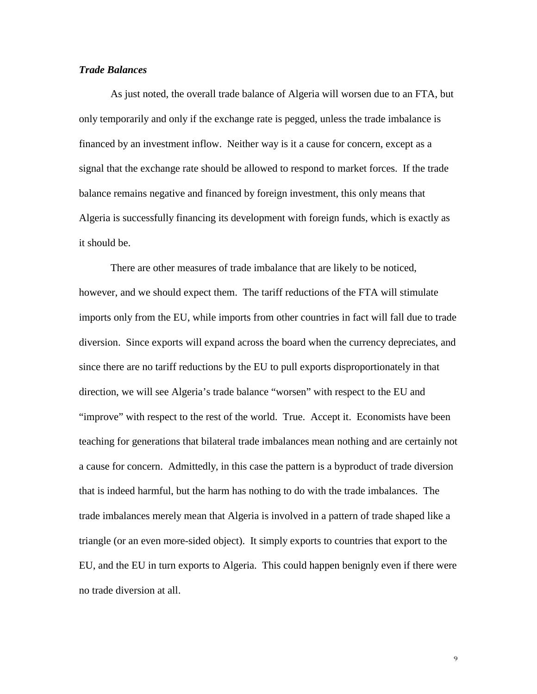#### *Trade Balances*

As just noted, the overall trade balance of Algeria will worsen due to an FTA, but only temporarily and only if the exchange rate is pegged, unless the trade imbalance is financed by an investment inflow. Neither way is it a cause for concern, except as a signal that the exchange rate should be allowed to respond to market forces. If the trade balance remains negative and financed by foreign investment, this only means that Algeria is successfully financing its development with foreign funds, which is exactly as it should be.

There are other measures of trade imbalance that are likely to be noticed, however, and we should expect them. The tariff reductions of the FTA will stimulate imports only from the EU, while imports from other countries in fact will fall due to trade diversion. Since exports will expand across the board when the currency depreciates, and since there are no tariff reductions by the EU to pull exports disproportionately in that direction, we will see Algeria's trade balance "worsen" with respect to the EU and "improve" with respect to the rest of the world. True. Accept it. Economists have been teaching for generations that bilateral trade imbalances mean nothing and are certainly not a cause for concern. Admittedly, in this case the pattern is a byproduct of trade diversion that is indeed harmful, but the harm has nothing to do with the trade imbalances. The trade imbalances merely mean that Algeria is involved in a pattern of trade shaped like a triangle (or an even more-sided object). It simply exports to countries that export to the EU, and the EU in turn exports to Algeria. This could happen benignly even if there were no trade diversion at all.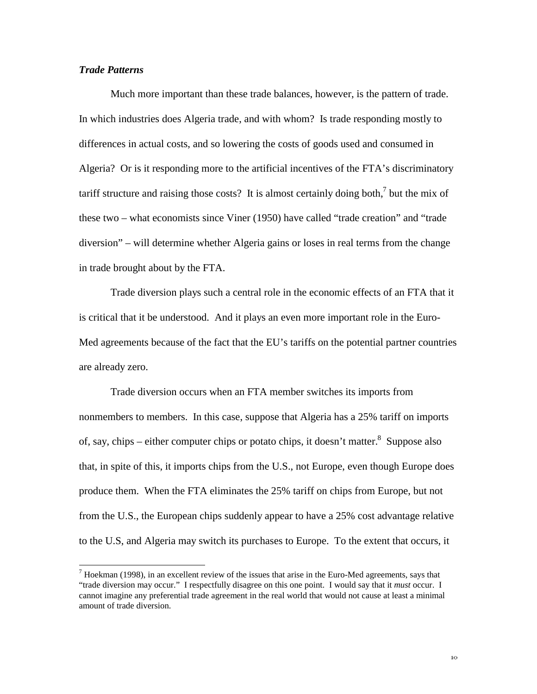#### *Trade Patterns*

 $\overline{a}$ 

Much more important than these trade balances, however, is the pattern of trade. In which industries does Algeria trade, and with whom? Is trade responding mostly to differences in actual costs, and so lowering the costs of goods used and consumed in Algeria? Or is it responding more to the artificial incentives of the FTA's discriminatory tariff structure and raising those costs? It is almost certainly doing both, $\frac{7}{1}$  but the mix of these two – what economists since Viner (1950) have called "trade creation" and "trade diversion" – will determine whether Algeria gains or loses in real terms from the change in trade brought about by the FTA.

Trade diversion plays such a central role in the economic effects of an FTA that it is critical that it be understood. And it plays an even more important role in the Euro-Med agreements because of the fact that the EU's tariffs on the potential partner countries are already zero.

Trade diversion occurs when an FTA member switches its imports from nonmembers to members. In this case, suppose that Algeria has a 25% tariff on imports of, say, chips – either computer chips or potato chips, it doesn't matter.<sup>8</sup> Suppose also that, in spite of this, it imports chips from the U.S., not Europe, even though Europe does produce them. When the FTA eliminates the 25% tariff on chips from Europe, but not from the U.S., the European chips suddenly appear to have a 25% cost advantage relative to the U.S, and Algeria may switch its purchases to Europe. To the extent that occurs, it

 $<sup>7</sup>$  Hoekman (1998), in an excellent review of the issues that arise in the Euro-Med agreements, says that</sup> "trade diversion may occur." I respectfully disagree on this one point. I would say that it *must* occur. I cannot imagine any preferential trade agreement in the real world that would not cause at least a minimal amount of trade diversion.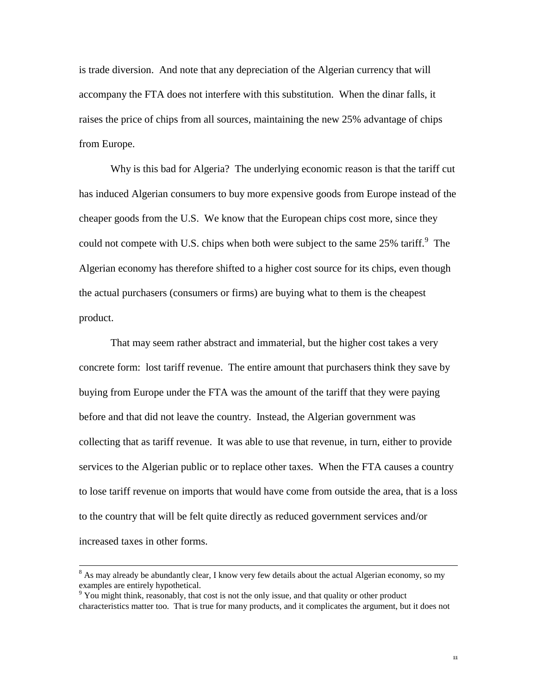is trade diversion. And note that any depreciation of the Algerian currency that will accompany the FTA does not interfere with this substitution. When the dinar falls, it raises the price of chips from all sources, maintaining the new 25% advantage of chips from Europe.

Why is this bad for Algeria? The underlying economic reason is that the tariff cut has induced Algerian consumers to buy more expensive goods from Europe instead of the cheaper goods from the U.S. We know that the European chips cost more, since they could not compete with U.S. chips when both were subject to the same  $25\%$  tariff.<sup>9</sup> The Algerian economy has therefore shifted to a higher cost source for its chips, even though the actual purchasers (consumers or firms) are buying what to them is the cheapest product.

That may seem rather abstract and immaterial, but the higher cost takes a very concrete form: lost tariff revenue. The entire amount that purchasers think they save by buying from Europe under the FTA was the amount of the tariff that they were paying before and that did not leave the country. Instead, the Algerian government was collecting that as tariff revenue. It was able to use that revenue, in turn, either to provide services to the Algerian public or to replace other taxes. When the FTA causes a country to lose tariff revenue on imports that would have come from outside the area, that is a loss to the country that will be felt quite directly as reduced government services and/or increased taxes in other forms.

 <sup>8</sup> <sup>8</sup> As may already be abundantly clear, I know very few details about the actual Algerian economy, so my examples are entirely hypothetical.

 $9$  You might think, reasonably, that cost is not the only issue, and that quality or other product characteristics matter too. That is true for many products, and it complicates the argument, but it does not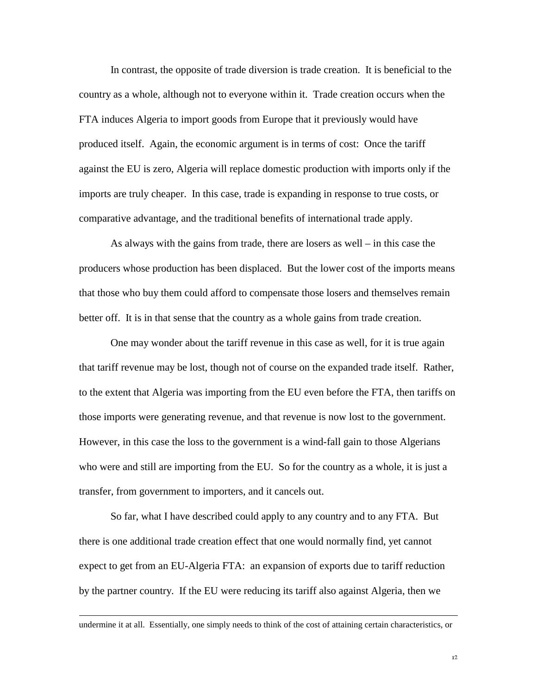In contrast, the opposite of trade diversion is trade creation. It is beneficial to the country as a whole, although not to everyone within it. Trade creation occurs when the FTA induces Algeria to import goods from Europe that it previously would have produced itself. Again, the economic argument is in terms of cost: Once the tariff against the EU is zero, Algeria will replace domestic production with imports only if the imports are truly cheaper. In this case, trade is expanding in response to true costs, or comparative advantage, and the traditional benefits of international trade apply.

As always with the gains from trade, there are losers as well – in this case the producers whose production has been displaced. But the lower cost of the imports means that those who buy them could afford to compensate those losers and themselves remain better off. It is in that sense that the country as a whole gains from trade creation.

One may wonder about the tariff revenue in this case as well, for it is true again that tariff revenue may be lost, though not of course on the expanded trade itself. Rather, to the extent that Algeria was importing from the EU even before the FTA, then tariffs on those imports were generating revenue, and that revenue is now lost to the government. However, in this case the loss to the government is a wind-fall gain to those Algerians who were and still are importing from the EU. So for the country as a whole, it is just a transfer, from government to importers, and it cancels out.

So far, what I have described could apply to any country and to any FTA. But there is one additional trade creation effect that one would normally find, yet cannot expect to get from an EU-Algeria FTA: an expansion of exports due to tariff reduction by the partner country. If the EU were reducing its tariff also against Algeria, then we

 $\overline{a}$ 

undermine it at all. Essentially, one simply needs to think of the cost of attaining certain characteristics, or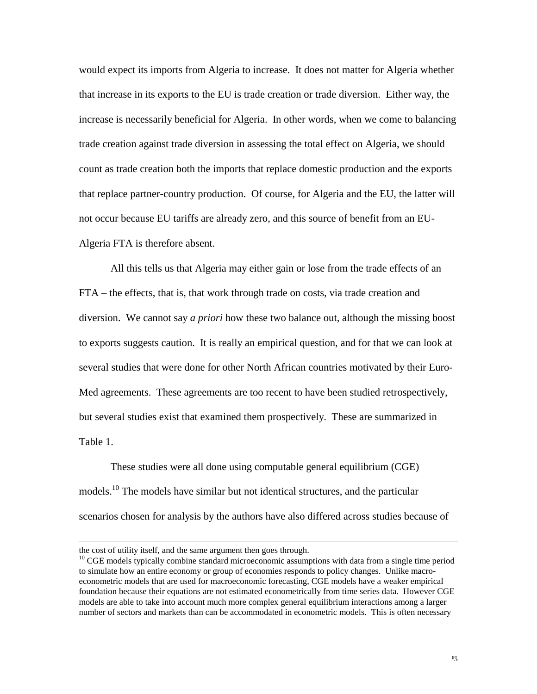would expect its imports from Algeria to increase. It does not matter for Algeria whether that increase in its exports to the EU is trade creation or trade diversion. Either way, the increase is necessarily beneficial for Algeria. In other words, when we come to balancing trade creation against trade diversion in assessing the total effect on Algeria, we should count as trade creation both the imports that replace domestic production and the exports that replace partner-country production. Of course, for Algeria and the EU, the latter will not occur because EU tariffs are already zero, and this source of benefit from an EU-Algeria FTA is therefore absent.

All this tells us that Algeria may either gain or lose from the trade effects of an FTA – the effects, that is, that work through trade on costs, via trade creation and diversion. We cannot say *a priori* how these two balance out, although the missing boost to exports suggests caution. It is really an empirical question, and for that we can look at several studies that were done for other North African countries motivated by their Euro-Med agreements. These agreements are too recent to have been studied retrospectively, but several studies exist that examined them prospectively. These are summarized in Table 1.

These studies were all done using computable general equilibrium (CGE) models.10 The models have similar but not identical structures, and the particular scenarios chosen for analysis by the authors have also differed across studies because of

 $\overline{a}$ 

the cost of utility itself, and the same argument then goes through.

<sup>&</sup>lt;sup>10</sup> CGE models typically combine standard microeconomic assumptions with data from a single time period to simulate how an entire economy or group of economies responds to policy changes. Unlike macroeconometric models that are used for macroeconomic forecasting, CGE models have a weaker empirical foundation because their equations are not estimated econometrically from time series data. However CGE models are able to take into account much more complex general equilibrium interactions among a larger number of sectors and markets than can be accommodated in econometric models. This is often necessary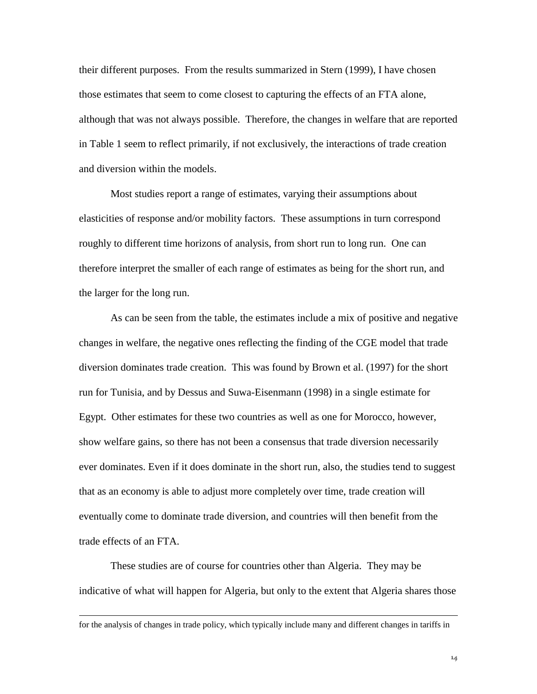their different purposes. From the results summarized in Stern (1999), I have chosen those estimates that seem to come closest to capturing the effects of an FTA alone, although that was not always possible. Therefore, the changes in welfare that are reported in Table 1 seem to reflect primarily, if not exclusively, the interactions of trade creation and diversion within the models.

Most studies report a range of estimates, varying their assumptions about elasticities of response and/or mobility factors. These assumptions in turn correspond roughly to different time horizons of analysis, from short run to long run. One can therefore interpret the smaller of each range of estimates as being for the short run, and the larger for the long run.

As can be seen from the table, the estimates include a mix of positive and negative changes in welfare, the negative ones reflecting the finding of the CGE model that trade diversion dominates trade creation. This was found by Brown et al. (1997) for the short run for Tunisia, and by Dessus and Suwa-Eisenmann (1998) in a single estimate for Egypt. Other estimates for these two countries as well as one for Morocco, however, show welfare gains, so there has not been a consensus that trade diversion necessarily ever dominates. Even if it does dominate in the short run, also, the studies tend to suggest that as an economy is able to adjust more completely over time, trade creation will eventually come to dominate trade diversion, and countries will then benefit from the trade effects of an FTA.

These studies are of course for countries other than Algeria. They may be indicative of what will happen for Algeria, but only to the extent that Algeria shares those

 $\overline{a}$ 

for the analysis of changes in trade policy, which typically include many and different changes in tariffs in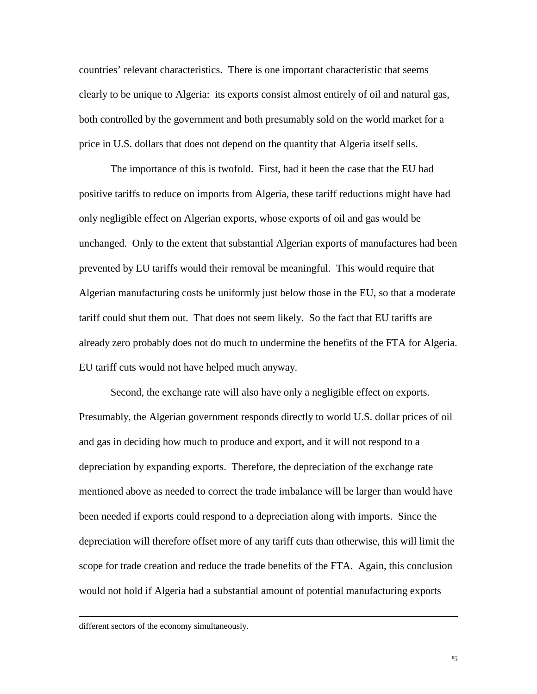countries' relevant characteristics. There is one important characteristic that seems clearly to be unique to Algeria: its exports consist almost entirely of oil and natural gas, both controlled by the government and both presumably sold on the world market for a price in U.S. dollars that does not depend on the quantity that Algeria itself sells.

The importance of this is twofold. First, had it been the case that the EU had positive tariffs to reduce on imports from Algeria, these tariff reductions might have had only negligible effect on Algerian exports, whose exports of oil and gas would be unchanged. Only to the extent that substantial Algerian exports of manufactures had been prevented by EU tariffs would their removal be meaningful. This would require that Algerian manufacturing costs be uniformly just below those in the EU, so that a moderate tariff could shut them out. That does not seem likely. So the fact that EU tariffs are already zero probably does not do much to undermine the benefits of the FTA for Algeria. EU tariff cuts would not have helped much anyway.

Second, the exchange rate will also have only a negligible effect on exports. Presumably, the Algerian government responds directly to world U.S. dollar prices of oil and gas in deciding how much to produce and export, and it will not respond to a depreciation by expanding exports. Therefore, the depreciation of the exchange rate mentioned above as needed to correct the trade imbalance will be larger than would have been needed if exports could respond to a depreciation along with imports. Since the depreciation will therefore offset more of any tariff cuts than otherwise, this will limit the scope for trade creation and reduce the trade benefits of the FTA. Again, this conclusion would not hold if Algeria had a substantial amount of potential manufacturing exports

 $\overline{a}$ 

different sectors of the economy simultaneously.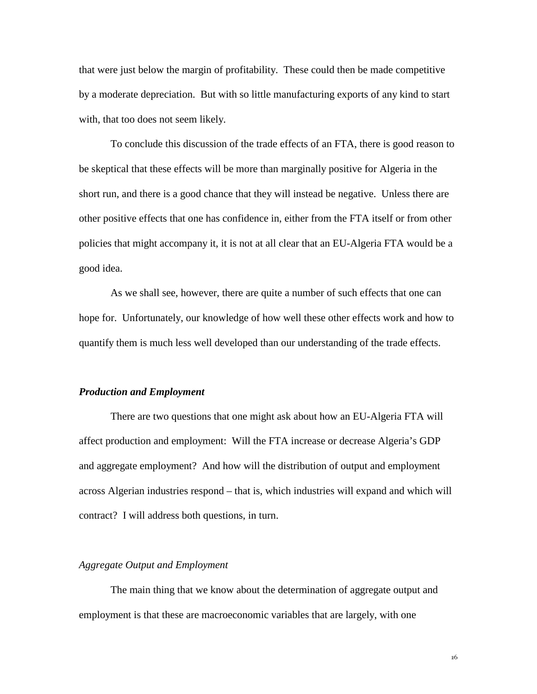that were just below the margin of profitability. These could then be made competitive by a moderate depreciation. But with so little manufacturing exports of any kind to start with, that too does not seem likely.

To conclude this discussion of the trade effects of an FTA, there is good reason to be skeptical that these effects will be more than marginally positive for Algeria in the short run, and there is a good chance that they will instead be negative. Unless there are other positive effects that one has confidence in, either from the FTA itself or from other policies that might accompany it, it is not at all clear that an EU-Algeria FTA would be a good idea.

As we shall see, however, there are quite a number of such effects that one can hope for. Unfortunately, our knowledge of how well these other effects work and how to quantify them is much less well developed than our understanding of the trade effects.

#### *Production and Employment*

There are two questions that one might ask about how an EU-Algeria FTA will affect production and employment: Will the FTA increase or decrease Algeria's GDP and aggregate employment? And how will the distribution of output and employment across Algerian industries respond – that is, which industries will expand and which will contract? I will address both questions, in turn.

#### *Aggregate Output and Employment*

The main thing that we know about the determination of aggregate output and employment is that these are macroeconomic variables that are largely, with one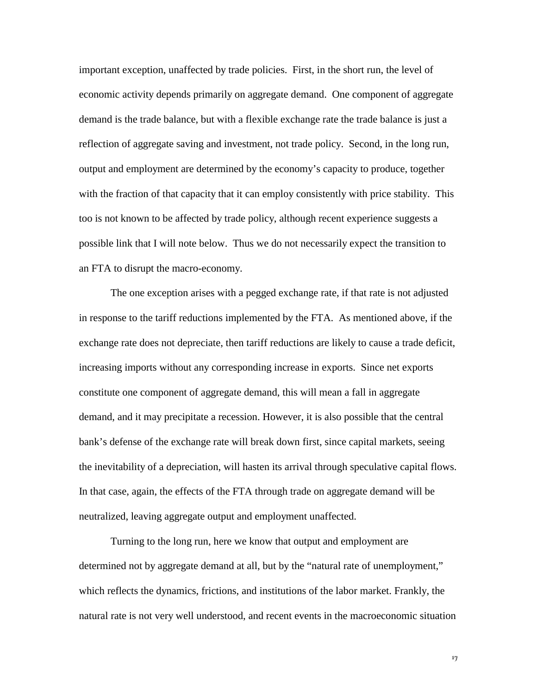important exception, unaffected by trade policies. First, in the short run, the level of economic activity depends primarily on aggregate demand. One component of aggregate demand is the trade balance, but with a flexible exchange rate the trade balance is just a reflection of aggregate saving and investment, not trade policy. Second, in the long run, output and employment are determined by the economy's capacity to produce, together with the fraction of that capacity that it can employ consistently with price stability. This too is not known to be affected by trade policy, although recent experience suggests a possible link that I will note below. Thus we do not necessarily expect the transition to an FTA to disrupt the macro-economy.

The one exception arises with a pegged exchange rate, if that rate is not adjusted in response to the tariff reductions implemented by the FTA. As mentioned above, if the exchange rate does not depreciate, then tariff reductions are likely to cause a trade deficit, increasing imports without any corresponding increase in exports. Since net exports constitute one component of aggregate demand, this will mean a fall in aggregate demand, and it may precipitate a recession. However, it is also possible that the central bank's defense of the exchange rate will break down first, since capital markets, seeing the inevitability of a depreciation, will hasten its arrival through speculative capital flows. In that case, again, the effects of the FTA through trade on aggregate demand will be neutralized, leaving aggregate output and employment unaffected.

Turning to the long run, here we know that output and employment are determined not by aggregate demand at all, but by the "natural rate of unemployment," which reflects the dynamics, frictions, and institutions of the labor market. Frankly, the natural rate is not very well understood, and recent events in the macroeconomic situation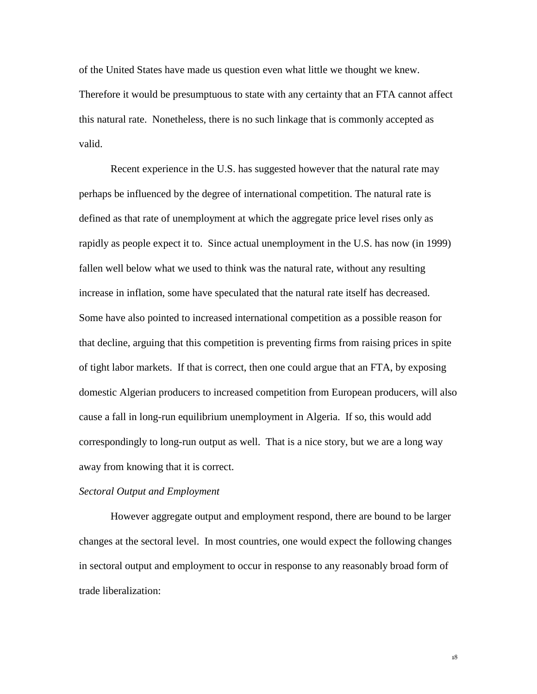of the United States have made us question even what little we thought we knew. Therefore it would be presumptuous to state with any certainty that an FTA cannot affect this natural rate. Nonetheless, there is no such linkage that is commonly accepted as valid.

Recent experience in the U.S. has suggested however that the natural rate may perhaps be influenced by the degree of international competition. The natural rate is defined as that rate of unemployment at which the aggregate price level rises only as rapidly as people expect it to. Since actual unemployment in the U.S. has now (in 1999) fallen well below what we used to think was the natural rate, without any resulting increase in inflation, some have speculated that the natural rate itself has decreased. Some have also pointed to increased international competition as a possible reason for that decline, arguing that this competition is preventing firms from raising prices in spite of tight labor markets. If that is correct, then one could argue that an FTA, by exposing domestic Algerian producers to increased competition from European producers, will also cause a fall in long-run equilibrium unemployment in Algeria. If so, this would add correspondingly to long-run output as well. That is a nice story, but we are a long way away from knowing that it is correct.

#### *Sectoral Output and Employment*

However aggregate output and employment respond, there are bound to be larger changes at the sectoral level. In most countries, one would expect the following changes in sectoral output and employment to occur in response to any reasonably broad form of trade liberalization: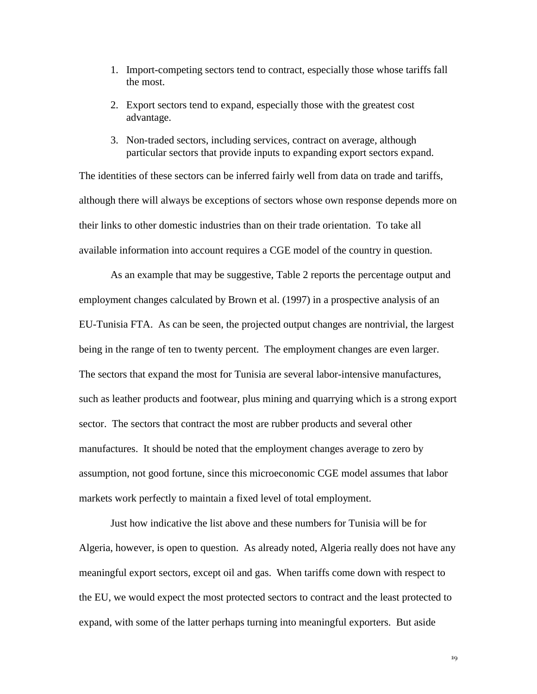- 1. Import-competing sectors tend to contract, especially those whose tariffs fall the most.
- 2. Export sectors tend to expand, especially those with the greatest cost advantage.
- 3. Non-traded sectors, including services, contract on average, although particular sectors that provide inputs to expanding export sectors expand.

The identities of these sectors can be inferred fairly well from data on trade and tariffs, although there will always be exceptions of sectors whose own response depends more on their links to other domestic industries than on their trade orientation. To take all available information into account requires a CGE model of the country in question.

As an example that may be suggestive, Table 2 reports the percentage output and employment changes calculated by Brown et al. (1997) in a prospective analysis of an EU-Tunisia FTA. As can be seen, the projected output changes are nontrivial, the largest being in the range of ten to twenty percent. The employment changes are even larger. The sectors that expand the most for Tunisia are several labor-intensive manufactures, such as leather products and footwear, plus mining and quarrying which is a strong export sector. The sectors that contract the most are rubber products and several other manufactures. It should be noted that the employment changes average to zero by assumption, not good fortune, since this microeconomic CGE model assumes that labor markets work perfectly to maintain a fixed level of total employment.

Just how indicative the list above and these numbers for Tunisia will be for Algeria, however, is open to question. As already noted, Algeria really does not have any meaningful export sectors, except oil and gas. When tariffs come down with respect to the EU, we would expect the most protected sectors to contract and the least protected to expand, with some of the latter perhaps turning into meaningful exporters. But aside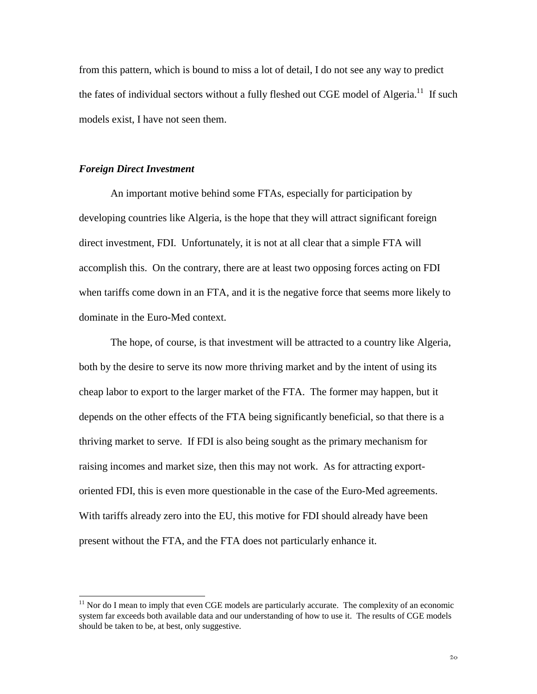from this pattern, which is bound to miss a lot of detail, I do not see any way to predict the fates of individual sectors without a fully fleshed out CGE model of Algeria.<sup>11</sup> If such models exist, I have not seen them.

#### *Foreign Direct Investment*

 $\overline{a}$ 

An important motive behind some FTAs, especially for participation by developing countries like Algeria, is the hope that they will attract significant foreign direct investment, FDI. Unfortunately, it is not at all clear that a simple FTA will accomplish this. On the contrary, there are at least two opposing forces acting on FDI when tariffs come down in an FTA, and it is the negative force that seems more likely to dominate in the Euro-Med context.

The hope, of course, is that investment will be attracted to a country like Algeria, both by the desire to serve its now more thriving market and by the intent of using its cheap labor to export to the larger market of the FTA. The former may happen, but it depends on the other effects of the FTA being significantly beneficial, so that there is a thriving market to serve. If FDI is also being sought as the primary mechanism for raising incomes and market size, then this may not work. As for attracting exportoriented FDI, this is even more questionable in the case of the Euro-Med agreements. With tariffs already zero into the EU, this motive for FDI should already have been present without the FTA, and the FTA does not particularly enhance it.

 $11$  Nor do I mean to imply that even CGE models are particularly accurate. The complexity of an economic system far exceeds both available data and our understanding of how to use it. The results of CGE models should be taken to be, at best, only suggestive.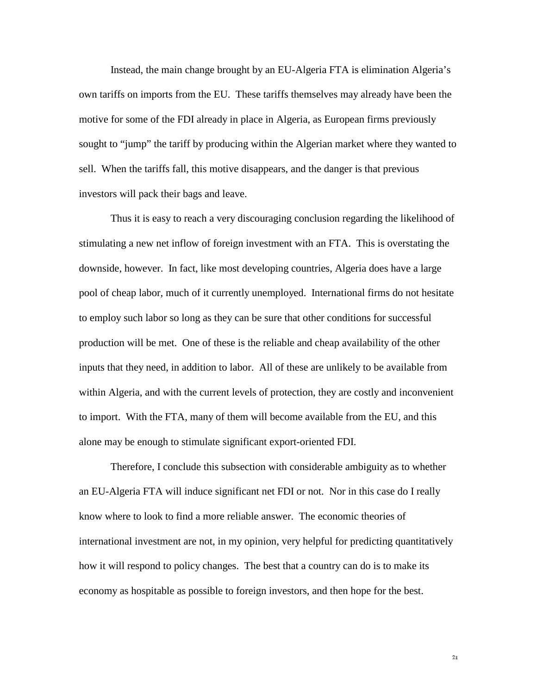Instead, the main change brought by an EU-Algeria FTA is elimination Algeria's own tariffs on imports from the EU. These tariffs themselves may already have been the motive for some of the FDI already in place in Algeria, as European firms previously sought to "jump" the tariff by producing within the Algerian market where they wanted to sell. When the tariffs fall, this motive disappears, and the danger is that previous investors will pack their bags and leave.

Thus it is easy to reach a very discouraging conclusion regarding the likelihood of stimulating a new net inflow of foreign investment with an FTA. This is overstating the downside, however. In fact, like most developing countries, Algeria does have a large pool of cheap labor, much of it currently unemployed. International firms do not hesitate to employ such labor so long as they can be sure that other conditions for successful production will be met. One of these is the reliable and cheap availability of the other inputs that they need, in addition to labor. All of these are unlikely to be available from within Algeria, and with the current levels of protection, they are costly and inconvenient to import. With the FTA, many of them will become available from the EU, and this alone may be enough to stimulate significant export-oriented FDI.

Therefore, I conclude this subsection with considerable ambiguity as to whether an EU-Algeria FTA will induce significant net FDI or not. Nor in this case do I really know where to look to find a more reliable answer. The economic theories of international investment are not, in my opinion, very helpful for predicting quantitatively how it will respond to policy changes. The best that a country can do is to make its economy as hospitable as possible to foreign investors, and then hope for the best.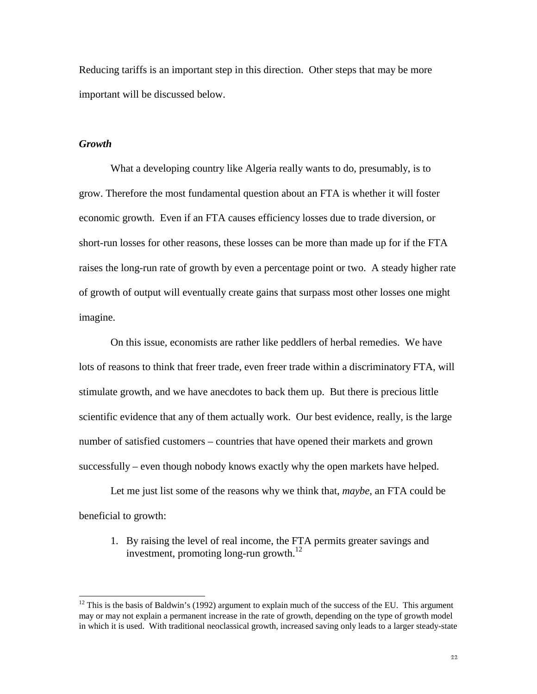Reducing tariffs is an important step in this direction. Other steps that may be more important will be discussed below.

#### *Growth*

 $\overline{a}$ 

What a developing country like Algeria really wants to do, presumably, is to grow. Therefore the most fundamental question about an FTA is whether it will foster economic growth. Even if an FTA causes efficiency losses due to trade diversion, or short-run losses for other reasons, these losses can be more than made up for if the FTA raises the long-run rate of growth by even a percentage point or two. A steady higher rate of growth of output will eventually create gains that surpass most other losses one might imagine.

On this issue, economists are rather like peddlers of herbal remedies. We have lots of reasons to think that freer trade, even freer trade within a discriminatory FTA, will stimulate growth, and we have anecdotes to back them up. But there is precious little scientific evidence that any of them actually work. Our best evidence, really, is the large number of satisfied customers – countries that have opened their markets and grown successfully – even though nobody knows exactly why the open markets have helped.

Let me just list some of the reasons why we think that, *maybe*, an FTA could be beneficial to growth:

1. By raising the level of real income, the FTA permits greater savings and investment, promoting long-run growth.<sup>12</sup>

 $12$  This is the basis of Baldwin's (1992) argument to explain much of the success of the EU. This argument may or may not explain a permanent increase in the rate of growth, depending on the type of growth model in which it is used. With traditional neoclassical growth, increased saving only leads to a larger steady-state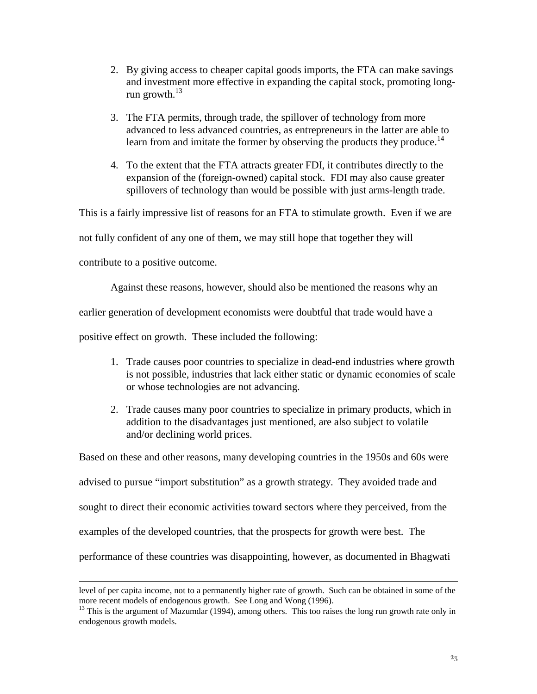- 2. By giving access to cheaper capital goods imports, the FTA can make savings and investment more effective in expanding the capital stock, promoting longrun growth. $^{13}$
- 3. The FTA permits, through trade, the spillover of technology from more advanced to less advanced countries, as entrepreneurs in the latter are able to learn from and imitate the former by observing the products they produce.<sup>14</sup>
- 4. To the extent that the FTA attracts greater FDI, it contributes directly to the expansion of the (foreign-owned) capital stock. FDI may also cause greater spillovers of technology than would be possible with just arms-length trade.

This is a fairly impressive list of reasons for an FTA to stimulate growth. Even if we are

not fully confident of any one of them, we may still hope that together they will

contribute to a positive outcome.

 $\overline{a}$ 

Against these reasons, however, should also be mentioned the reasons why an

earlier generation of development economists were doubtful that trade would have a

positive effect on growth. These included the following:

- 1. Trade causes poor countries to specialize in dead-end industries where growth is not possible, industries that lack either static or dynamic economies of scale or whose technologies are not advancing.
- 2. Trade causes many poor countries to specialize in primary products, which in addition to the disadvantages just mentioned, are also subject to volatile and/or declining world prices.

Based on these and other reasons, many developing countries in the 1950s and 60s were advised to pursue "import substitution" as a growth strategy. They avoided trade and sought to direct their economic activities toward sectors where they perceived, from the examples of the developed countries, that the prospects for growth were best. The performance of these countries was disappointing, however, as documented in Bhagwati

level of per capita income, not to a permanently higher rate of growth. Such can be obtained in some of the more recent models of endogenous growth. See Long and Wong (1996).

<sup>&</sup>lt;sup>13</sup> This is the argument of Mazumdar (1994), among others. This too raises the long run growth rate only in endogenous growth models.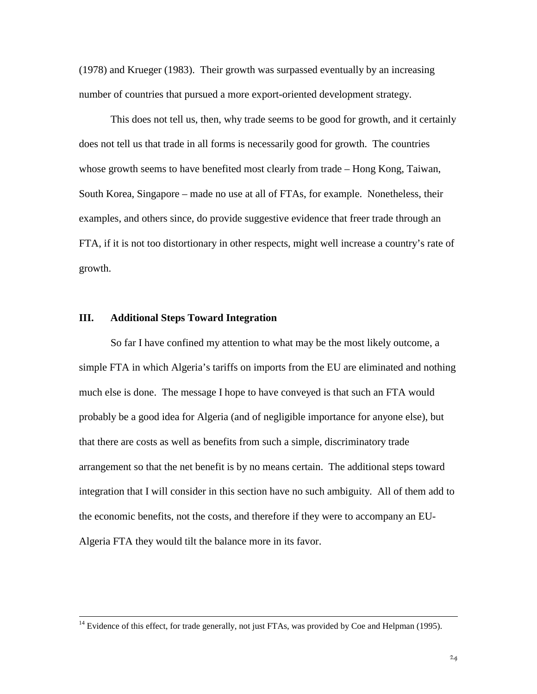(1978) and Krueger (1983). Their growth was surpassed eventually by an increasing number of countries that pursued a more export-oriented development strategy.

This does not tell us, then, why trade seems to be good for growth, and it certainly does not tell us that trade in all forms is necessarily good for growth. The countries whose growth seems to have benefited most clearly from trade – Hong Kong, Taiwan, South Korea, Singapore – made no use at all of FTAs, for example. Nonetheless, their examples, and others since, do provide suggestive evidence that freer trade through an FTA, if it is not too distortionary in other respects, might well increase a country's rate of growth.

#### **III. Additional Steps Toward Integration**

So far I have confined my attention to what may be the most likely outcome, a simple FTA in which Algeria's tariffs on imports from the EU are eliminated and nothing much else is done. The message I hope to have conveyed is that such an FTA would probably be a good idea for Algeria (and of negligible importance for anyone else), but that there are costs as well as benefits from such a simple, discriminatory trade arrangement so that the net benefit is by no means certain. The additional steps toward integration that I will consider in this section have no such ambiguity. All of them add to the economic benefits, not the costs, and therefore if they were to accompany an EU-Algeria FTA they would tilt the balance more in its favor.

<sup>&</sup>lt;sup>14</sup> Evidence of this effect, for trade generally, not just FTAs, was provided by Coe and Helpman (1995).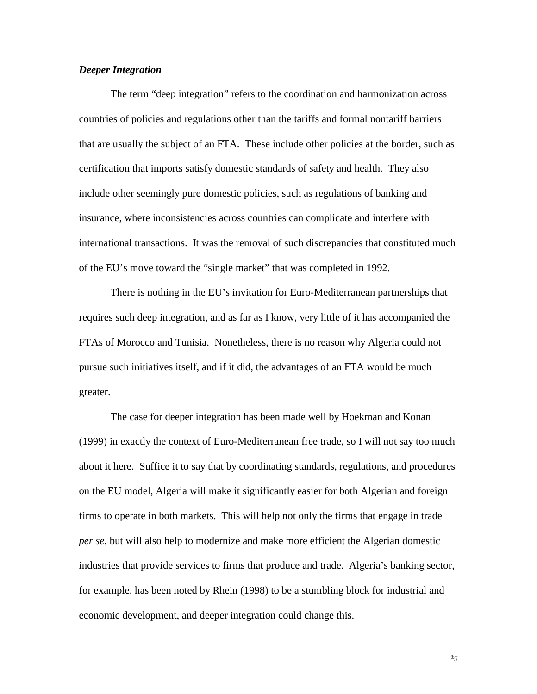#### *Deeper Integration*

The term "deep integration" refers to the coordination and harmonization across countries of policies and regulations other than the tariffs and formal nontariff barriers that are usually the subject of an FTA. These include other policies at the border, such as certification that imports satisfy domestic standards of safety and health. They also include other seemingly pure domestic policies, such as regulations of banking and insurance, where inconsistencies across countries can complicate and interfere with international transactions. It was the removal of such discrepancies that constituted much of the EU's move toward the "single market" that was completed in 1992.

There is nothing in the EU's invitation for Euro-Mediterranean partnerships that requires such deep integration, and as far as I know, very little of it has accompanied the FTAs of Morocco and Tunisia. Nonetheless, there is no reason why Algeria could not pursue such initiatives itself, and if it did, the advantages of an FTA would be much greater.

The case for deeper integration has been made well by Hoekman and Konan (1999) in exactly the context of Euro-Mediterranean free trade, so I will not say too much about it here. Suffice it to say that by coordinating standards, regulations, and procedures on the EU model, Algeria will make it significantly easier for both Algerian and foreign firms to operate in both markets. This will help not only the firms that engage in trade *per se*, but will also help to modernize and make more efficient the Algerian domestic industries that provide services to firms that produce and trade. Algeria's banking sector, for example, has been noted by Rhein (1998) to be a stumbling block for industrial and economic development, and deeper integration could change this.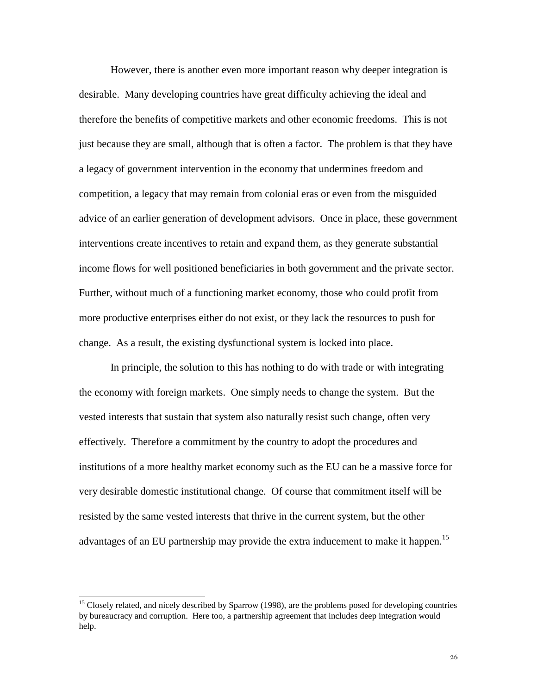However, there is another even more important reason why deeper integration is desirable. Many developing countries have great difficulty achieving the ideal and therefore the benefits of competitive markets and other economic freedoms. This is not just because they are small, although that is often a factor. The problem is that they have a legacy of government intervention in the economy that undermines freedom and competition, a legacy that may remain from colonial eras or even from the misguided advice of an earlier generation of development advisors. Once in place, these government interventions create incentives to retain and expand them, as they generate substantial income flows for well positioned beneficiaries in both government and the private sector. Further, without much of a functioning market economy, those who could profit from more productive enterprises either do not exist, or they lack the resources to push for change. As a result, the existing dysfunctional system is locked into place.

In principle, the solution to this has nothing to do with trade or with integrating the economy with foreign markets. One simply needs to change the system. But the vested interests that sustain that system also naturally resist such change, often very effectively. Therefore a commitment by the country to adopt the procedures and institutions of a more healthy market economy such as the EU can be a massive force for very desirable domestic institutional change. Of course that commitment itself will be resisted by the same vested interests that thrive in the current system, but the other advantages of an EU partnership may provide the extra inducement to make it happen.<sup>15</sup>

 $\overline{a}$ 

<sup>&</sup>lt;sup>15</sup> Closely related, and nicely described by Sparrow (1998), are the problems posed for developing countries by bureaucracy and corruption. Here too, a partnership agreement that includes deep integration would help.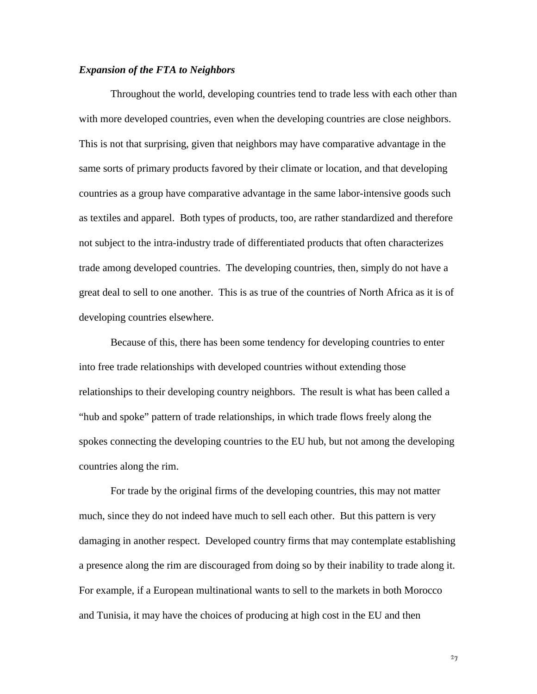#### *Expansion of the FTA to Neighbors*

Throughout the world, developing countries tend to trade less with each other than with more developed countries, even when the developing countries are close neighbors. This is not that surprising, given that neighbors may have comparative advantage in the same sorts of primary products favored by their climate or location, and that developing countries as a group have comparative advantage in the same labor-intensive goods such as textiles and apparel. Both types of products, too, are rather standardized and therefore not subject to the intra-industry trade of differentiated products that often characterizes trade among developed countries. The developing countries, then, simply do not have a great deal to sell to one another. This is as true of the countries of North Africa as it is of developing countries elsewhere.

Because of this, there has been some tendency for developing countries to enter into free trade relationships with developed countries without extending those relationships to their developing country neighbors. The result is what has been called a "hub and spoke" pattern of trade relationships, in which trade flows freely along the spokes connecting the developing countries to the EU hub, but not among the developing countries along the rim.

For trade by the original firms of the developing countries, this may not matter much, since they do not indeed have much to sell each other. But this pattern is very damaging in another respect. Developed country firms that may contemplate establishing a presence along the rim are discouraged from doing so by their inability to trade along it. For example, if a European multinational wants to sell to the markets in both Morocco and Tunisia, it may have the choices of producing at high cost in the EU and then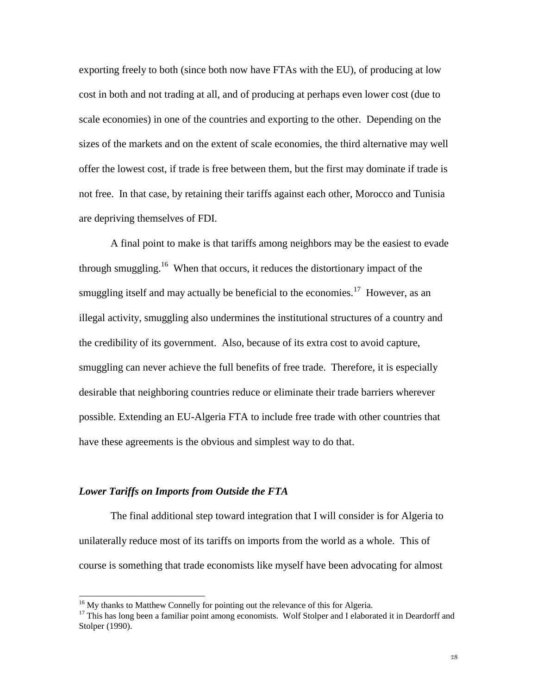exporting freely to both (since both now have FTAs with the EU), of producing at low cost in both and not trading at all, and of producing at perhaps even lower cost (due to scale economies) in one of the countries and exporting to the other. Depending on the sizes of the markets and on the extent of scale economies, the third alternative may well offer the lowest cost, if trade is free between them, but the first may dominate if trade is not free. In that case, by retaining their tariffs against each other, Morocco and Tunisia are depriving themselves of FDI.

A final point to make is that tariffs among neighbors may be the easiest to evade through smuggling.<sup>16</sup> When that occurs, it reduces the distortionary impact of the smuggling itself and may actually be beneficial to the economies.<sup>17</sup> However, as an illegal activity, smuggling also undermines the institutional structures of a country and the credibility of its government. Also, because of its extra cost to avoid capture, smuggling can never achieve the full benefits of free trade. Therefore, it is especially desirable that neighboring countries reduce or eliminate their trade barriers wherever possible. Extending an EU-Algeria FTA to include free trade with other countries that have these agreements is the obvious and simplest way to do that.

#### *Lower Tariffs on Imports from Outside the FTA*

 $\overline{a}$ 

The final additional step toward integration that I will consider is for Algeria to unilaterally reduce most of its tariffs on imports from the world as a whole. This of course is something that trade economists like myself have been advocating for almost

<sup>&</sup>lt;sup>16</sup> My thanks to Matthew Connelly for pointing out the relevance of this for Algeria.

<sup>&</sup>lt;sup>17</sup> This has long been a familiar point among economists. Wolf Stolper and I elaborated it in Deardorff and Stolper (1990).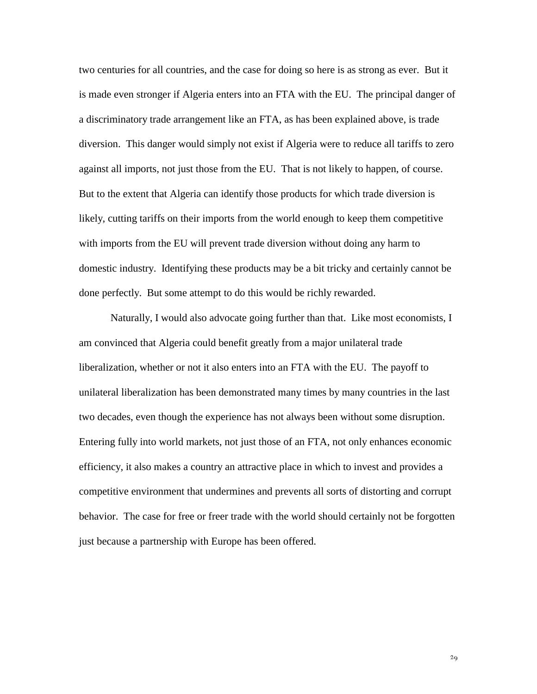two centuries for all countries, and the case for doing so here is as strong as ever. But it is made even stronger if Algeria enters into an FTA with the EU. The principal danger of a discriminatory trade arrangement like an FTA, as has been explained above, is trade diversion. This danger would simply not exist if Algeria were to reduce all tariffs to zero against all imports, not just those from the EU. That is not likely to happen, of course. But to the extent that Algeria can identify those products for which trade diversion is likely, cutting tariffs on their imports from the world enough to keep them competitive with imports from the EU will prevent trade diversion without doing any harm to domestic industry. Identifying these products may be a bit tricky and certainly cannot be done perfectly. But some attempt to do this would be richly rewarded.

Naturally, I would also advocate going further than that. Like most economists, I am convinced that Algeria could benefit greatly from a major unilateral trade liberalization, whether or not it also enters into an FTA with the EU. The payoff to unilateral liberalization has been demonstrated many times by many countries in the last two decades, even though the experience has not always been without some disruption. Entering fully into world markets, not just those of an FTA, not only enhances economic efficiency, it also makes a country an attractive place in which to invest and provides a competitive environment that undermines and prevents all sorts of distorting and corrupt behavior. The case for free or freer trade with the world should certainly not be forgotten just because a partnership with Europe has been offered.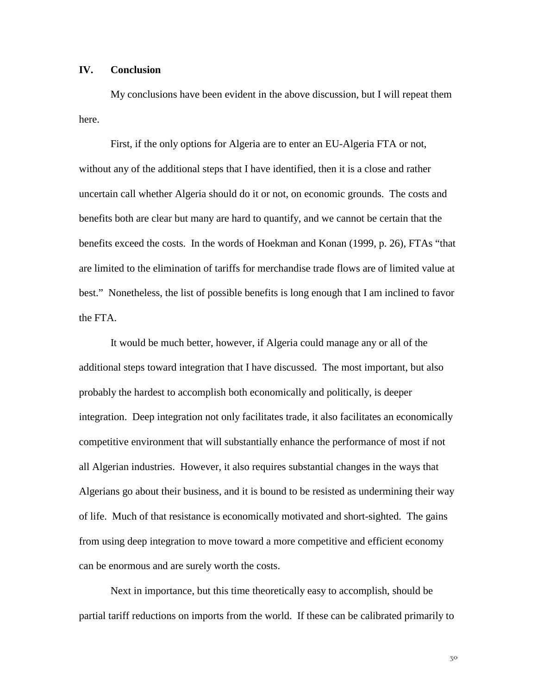#### **IV. Conclusion**

My conclusions have been evident in the above discussion, but I will repeat them here.

First, if the only options for Algeria are to enter an EU-Algeria FTA or not, without any of the additional steps that I have identified, then it is a close and rather uncertain call whether Algeria should do it or not, on economic grounds. The costs and benefits both are clear but many are hard to quantify, and we cannot be certain that the benefits exceed the costs. In the words of Hoekman and Konan (1999, p. 26), FTAs "that are limited to the elimination of tariffs for merchandise trade flows are of limited value at best." Nonetheless, the list of possible benefits is long enough that I am inclined to favor the FTA.

It would be much better, however, if Algeria could manage any or all of the additional steps toward integration that I have discussed. The most important, but also probably the hardest to accomplish both economically and politically, is deeper integration. Deep integration not only facilitates trade, it also facilitates an economically competitive environment that will substantially enhance the performance of most if not all Algerian industries. However, it also requires substantial changes in the ways that Algerians go about their business, and it is bound to be resisted as undermining their way of life. Much of that resistance is economically motivated and short-sighted. The gains from using deep integration to move toward a more competitive and efficient economy can be enormous and are surely worth the costs.

Next in importance, but this time theoretically easy to accomplish, should be partial tariff reductions on imports from the world. If these can be calibrated primarily to

 $5<sup>o</sup>$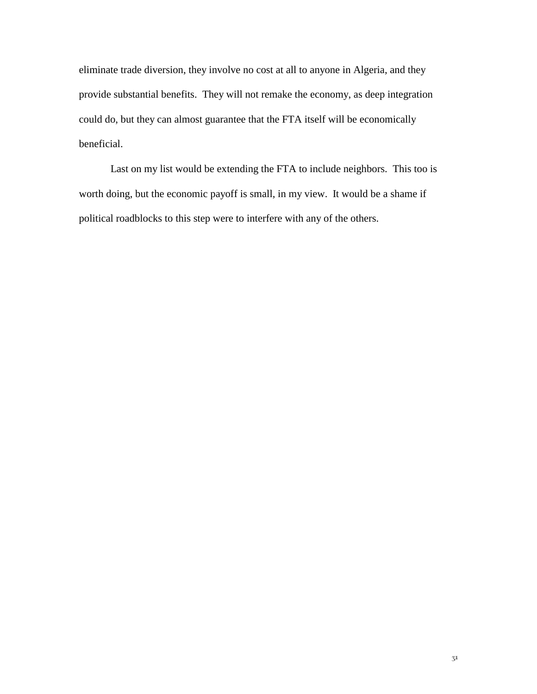eliminate trade diversion, they involve no cost at all to anyone in Algeria, and they provide substantial benefits. They will not remake the economy, as deep integration could do, but they can almost guarantee that the FTA itself will be economically beneficial.

Last on my list would be extending the FTA to include neighbors. This too is worth doing, but the economic payoff is small, in my view. It would be a shame if political roadblocks to this step were to interfere with any of the others.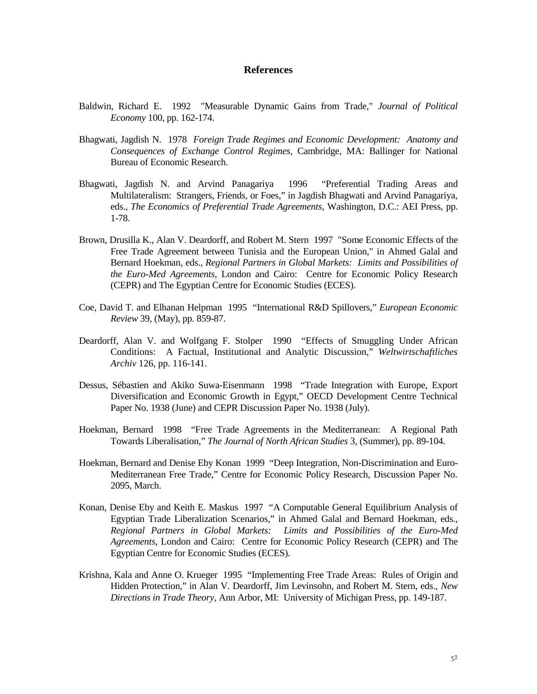#### **References**

- Baldwin, Richard E. 1992 "Measurable Dynamic Gains from Trade," *Journal of Political Economy* 100, pp. 162-174.
- Bhagwati, Jagdish N. 1978 *Foreign Trade Regimes and Economic Development: Anatomy and Consequences of Exchange Control Regimes*, Cambridge, MA: Ballinger for National Bureau of Economic Research.
- Bhagwati, Jagdish N. and Arvind Panagariya 1996 "Preferential Trading Areas and Multilateralism: Strangers, Friends, or Foes," in Jagdish Bhagwati and Arvind Panagariya, eds., *The Economics of Preferential Trade Agreements*, Washington, D.C.: AEI Press, pp. 1-78.
- Brown, Drusilla K., Alan V. Deardorff, and Robert M. Stern 1997 "Some Economic Effects of the Free Trade Agreement between Tunisia and the European Union," in Ahmed Galal and Bernard Hoekman, eds., *Regional Partners in Global Markets: Limits and Possibilities of the Euro-Med Agreements*, London and Cairo: Centre for Economic Policy Research (CEPR) and The Egyptian Centre for Economic Studies (ECES).
- Coe, David T. and Elhanan Helpman 1995 "International R&D Spillovers," *European Economic Review* 39, (May), pp. 859-87.
- Deardorff, Alan V. and Wolfgang F. Stolper 1990 "Effects of Smuggling Under African Conditions: A Factual, Institutional and Analytic Discussion," *Weltwirtschaftliches Archiv* 126, pp. 116-141.
- Dessus, Sébastien and Akiko Suwa-Eisenmann 1998 "Trade Integration with Europe, Export Diversification and Economic Growth in Egypt," OECD Development Centre Technical Paper No. 1938 (June) and CEPR Discussion Paper No. 1938 (July).
- Hoekman, Bernard 1998 "Free Trade Agreements in the Mediterranean: A Regional Path Towards Liberalisation," *The Journal of North African Studies* 3, (Summer), pp. 89-104.
- Hoekman, Bernard and Denise Eby Konan 1999 "Deep Integration, Non-Discrimination and Euro-Mediterranean Free Trade," Centre for Economic Policy Research, Discussion Paper No. 2095, March.
- Konan, Denise Eby and Keith E. Maskus 1997 "A Computable General Equilibrium Analysis of Egyptian Trade Liberalization Scenarios," in Ahmed Galal and Bernard Hoekman, eds., *Regional Partners in Global Markets: Limits and Possibilities of the Euro-Med Agreements*, London and Cairo: Centre for Economic Policy Research (CEPR) and The Egyptian Centre for Economic Studies (ECES).
- Krishna, Kala and Anne O. Krueger 1995 "Implementing Free Trade Areas: Rules of Origin and Hidden Protection," in Alan V. Deardorff, Jim Levinsohn, and Robert M. Stern, eds., *New Directions in Trade Theory*, Ann Arbor, MI: University of Michigan Press, pp. 149-187.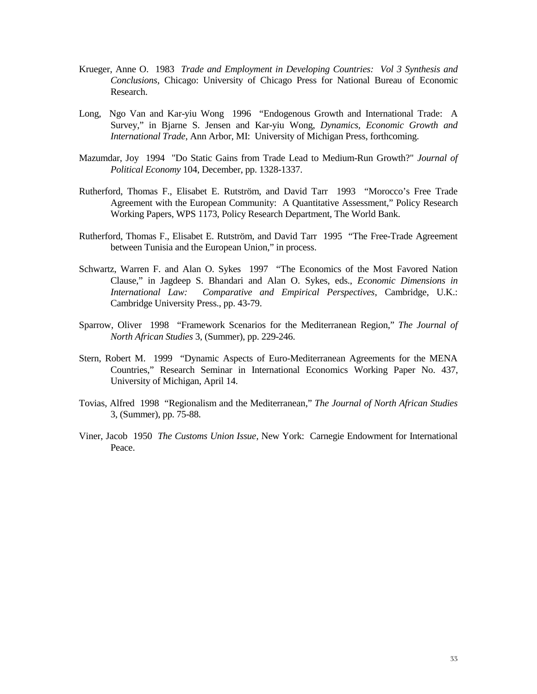- Krueger, Anne O. 1983 *Trade and Employment in Developing Countries: Vol 3 Synthesis and Conclusions*, Chicago: University of Chicago Press for National Bureau of Economic Research.
- Long, Ngo Van and Kar-yiu Wong 1996 "Endogenous Growth and International Trade: A Survey," in Bjarne S. Jensen and Kar-yiu Wong, *Dynamics, Economic Growth and International Trade*, Ann Arbor, MI: University of Michigan Press, forthcoming.
- Mazumdar, Joy 1994 "Do Static Gains from Trade Lead to Medium-Run Growth?" *Journal of Political Economy* 104, December, pp. 1328-1337.
- Rutherford, Thomas F., Elisabet E. Rutström, and David Tarr 1993 "Morocco's Free Trade Agreement with the European Community: A Quantitative Assessment," Policy Research Working Papers, WPS 1173, Policy Research Department, The World Bank.
- Rutherford, Thomas F., Elisabet E. Rutström, and David Tarr 1995 "The Free-Trade Agreement between Tunisia and the European Union," in process.
- Schwartz, Warren F. and Alan O. Sykes 1997 "The Economics of the Most Favored Nation Clause," in Jagdeep S. Bhandari and Alan O. Sykes, eds., *Economic Dimensions in International Law: Comparative and Empirical Perspectives*, Cambridge, U.K.: Cambridge University Press., pp. 43-79.
- Sparrow, Oliver 1998 "Framework Scenarios for the Mediterranean Region," *The Journal of North African Studies* 3, (Summer), pp. 229-246.
- Stern, Robert M. 1999 "Dynamic Aspects of Euro-Mediterranean Agreements for the MENA Countries," Research Seminar in International Economics Working Paper No. 437, University of Michigan, April 14.
- Tovias, Alfred 1998 "Regionalism and the Mediterranean," *The Journal of North African Studies* 3, (Summer), pp. 75-88.
- Viner, Jacob 1950 *The Customs Union Issue*, New York: Carnegie Endowment for International Peace.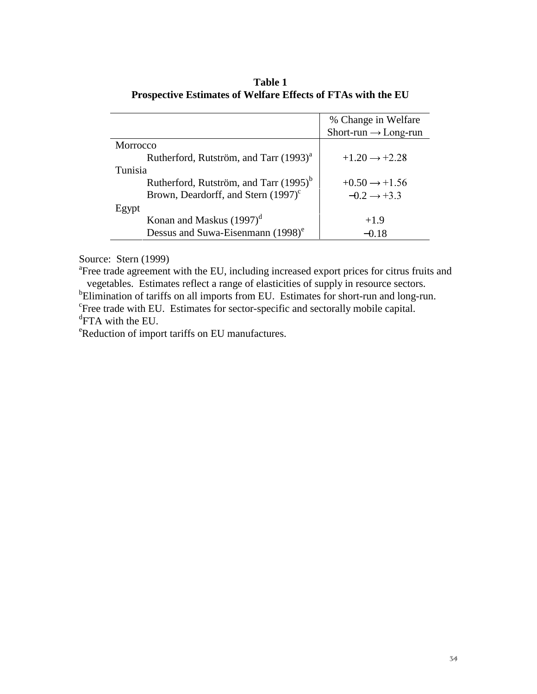|                                                    | % Change in Welfare              |  |
|----------------------------------------------------|----------------------------------|--|
|                                                    | Short-run $\rightarrow$ Long-run |  |
| Morrocco                                           |                                  |  |
| Rutherford, Rutström, and Tarr (1993) <sup>a</sup> | $+1.20 \rightarrow +2.28$        |  |
| Tunisia                                            |                                  |  |
| Rutherford, Rutström, and Tarr (1995) <sup>b</sup> | $+0.50 \rightarrow +1.56$        |  |
| Brown, Deardorff, and Stern $(1997)^c$             | $-0.2 \rightarrow +3.3$          |  |
| Egypt                                              |                                  |  |
| Konan and Maskus $(1997)^d$                        | $+1.9$                           |  |
| Dessus and Suwa-Eisenmann (1998) <sup>e</sup>      | -0.18                            |  |

**Table 1 Prospective Estimates of Welfare Effects of FTAs with the EU**

Source: Stern (1999)

<sup>a</sup> Free trade agreement with the EU, including increased export prices for citrus fruits and vegetables. Estimates reflect a range of elasticities of supply in resource sectors.

<sup>b</sup>Elimination of tariffs on all imports from EU. Estimates for short-run and long-run. <sup>c</sup>Free trade with EU. Estimates for sector-specific and sectorally mobile capital.

<sup>d</sup>FTA with the EU.

e Reduction of import tariffs on EU manufactures.